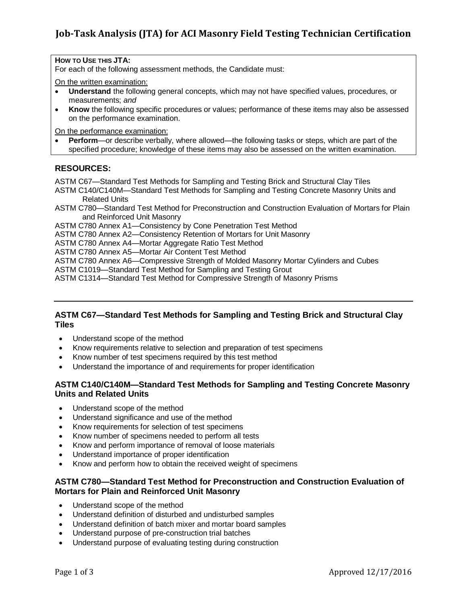# **Job-Task Analysis (JTA) for ACI Masonry Field Testing Technician Certification**

**HOW TO USE THIS JTA:** 

For each of the following assessment methods, the Candidate must:

On the written examination:

- **Understand** the following general concepts, which may not have specified values, procedures, or measurements; *and*
- **Know** the following specific procedures or values; performance of these items may also be assessed on the performance examination.

On the performance examination:

 **Perform**—or describe verbally, where allowed—the following tasks or steps, which are part of the specified procedure; knowledge of these items may also be assessed on the written examination.

### **RESOURCES:**

ASTM C67—Standard Test Methods for Sampling and Testing Brick and Structural Clay Tiles

- ASTM C140/C140M—Standard Test Methods for Sampling and Testing Concrete Masonry Units and Related Units
- ASTM C780—Standard Test Method for Preconstruction and Construction Evaluation of Mortars for Plain and Reinforced Unit Masonry

ASTM C780 Annex A1—Consistency by Cone Penetration Test Method

ASTM C780 Annex A2—Consistency Retention of Mortars for Unit Masonry

ASTM C780 Annex A4—Mortar Aggregate Ratio Test Method

ASTM C780 Annex A5—Mortar Air Content Test Method

ASTM C780 Annex A6—Compressive Strength of Molded Masonry Mortar Cylinders and Cubes

ASTM C1019—Standard Test Method for Sampling and Testing Grout

ASTM C1314—Standard Test Method for Compressive Strength of Masonry Prisms

#### **ASTM C67—Standard Test Methods for Sampling and Testing Brick and Structural Clay Tiles**

- Understand scope of the method
- Know requirements relative to selection and preparation of test specimens
- Know number of test specimens required by this test method
- Understand the importance of and requirements for proper identification

### **ASTM C140/C140M—Standard Test Methods for Sampling and Testing Concrete Masonry Units and Related Units**

- Understand scope of the method
- Understand significance and use of the method
- Know requirements for selection of test specimens
- Know number of specimens needed to perform all tests
- Know and perform importance of removal of loose materials
- Understand importance of proper identification
- Know and perform how to obtain the received weight of specimens

### **ASTM C780—Standard Test Method for Preconstruction and Construction Evaluation of Mortars for Plain and Reinforced Unit Masonry**

- Understand scope of the method
- Understand definition of disturbed and undisturbed samples
- Understand definition of batch mixer and mortar board samples
- Understand purpose of pre-construction trial batches
- Understand purpose of evaluating testing during construction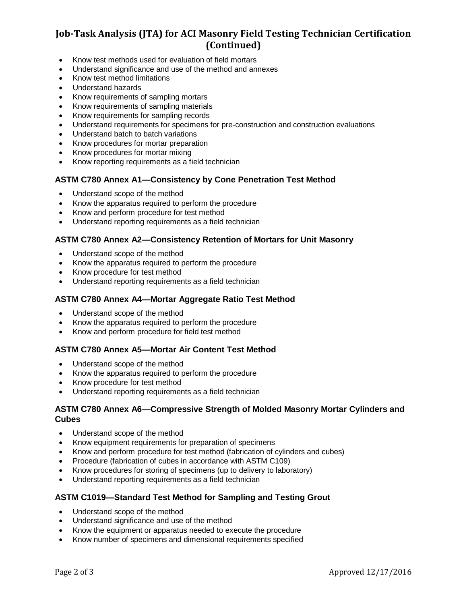## **Job-Task Analysis (JTA) for ACI Masonry Field Testing Technician Certification (Continued)**

- Know test methods used for evaluation of field mortars
- Understand significance and use of the method and annexes
- Know test method limitations
- Understand hazards
- Know requirements of sampling mortars
- Know requirements of sampling materials
- Know requirements for sampling records
- Understand requirements for specimens for pre-construction and construction evaluations
- Understand batch to batch variations
- Know procedures for mortar preparation
- Know procedures for mortar mixing
- Know reporting requirements as a field technician

#### **ASTM C780 Annex A1—Consistency by Cone Penetration Test Method**

- Understand scope of the method
- Know the apparatus required to perform the procedure
- Know and perform procedure for test method
- Understand reporting requirements as a field technician

#### **ASTM C780 Annex A2—Consistency Retention of Mortars for Unit Masonry**

- Understand scope of the method
- Know the apparatus required to perform the procedure
- Know procedure for test method
- Understand reporting requirements as a field technician

#### **ASTM C780 Annex A4—Mortar Aggregate Ratio Test Method**

- Understand scope of the method
- Know the apparatus required to perform the procedure
- Know and perform procedure for field test method

#### **ASTM C780 Annex A5—Mortar Air Content Test Method**

- Understand scope of the method
- Know the apparatus required to perform the procedure
- Know procedure for test method
- Understand reporting requirements as a field technician

#### **ASTM C780 Annex A6—Compressive Strength of Molded Masonry Mortar Cylinders and Cubes**

- Understand scope of the method
- Know equipment requirements for preparation of specimens
- Know and perform procedure for test method (fabrication of cylinders and cubes)
- Procedure (fabrication of cubes in accordance with ASTM C109)
- Know procedures for storing of specimens (up to delivery to laboratory)
- Understand reporting requirements as a field technician

#### **ASTM C1019—Standard Test Method for Sampling and Testing Grout**

- Understand scope of the method
- Understand significance and use of the method
- Know the equipment or apparatus needed to execute the procedure
- Know number of specimens and dimensional requirements specified